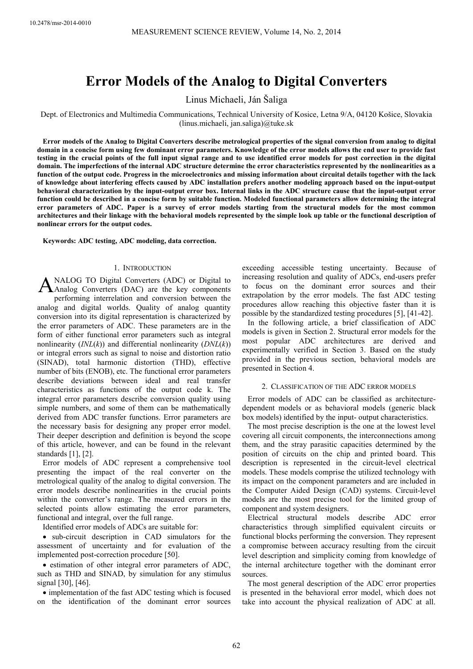# **Error Models of the Analog to Digital Converters**

Linus Michaeli, Ján Šaliga

Dept. of Electronics and Multimedia Communications, Technical University of Kosice, Letna 9/A, 04120 Košice, Slovakia (linus.michaeli, jan.saliga)@tuke.sk

**Error models of the Analog to Digital Converters describe metrological properties of the signal conversion from analog to digital domain in a concise form using few dominant error parameters. Knowledge of the error models allows the end user to provide fast testing in the crucial points of the full input signal range and to use identified error models for post correction in the digital domain. The imperfections of the internal ADC structure determine the error characteristics represented by the nonlinearities as a function of the output code. Progress in the microelectronics and missing information about circuital details together with the lack of knowledge about interfering effects caused by ADC installation prefers another modeling approach based on the input-output behavioral characterization by the input-output error box. Internal links in the ADC structure cause that the input-output error function could be described in a concise form by suitable function. Modeled functional parameters allow determining the integral error parameters of ADC. Paper is a survey of error models starting from the structural models for the most common architectures and their linkage with the behavioral models represented by the simple look up table or the functional description of nonlinear errors for the output codes.** 

**Keywords: ADC testing, ADC modeling, data correction.** 

## 1. INTRODUCTION

NALOG TO Digital Converters (ADC) or Digital to ANALOG TO Digital Converters (ADC) or Digital to<br>Analog Converters (DAC) are the key components performing interrelation and conversion between the analog and digital worlds. Quality of analog quantity conversion into its digital representation is characterized by the error parameters of ADC. These parameters are in the form of either functional error parameters such as integral nonlinearity (*INL*(*k*)) and differential nonlinearity (*DNL*(*k*)) or integral errors such as signal to noise and distortion ratio (SINAD), total harmonic distortion (THD), effective number of bits (ENOB), etc. The functional error parameters describe deviations between ideal and real transfer characteristics as functions of the output code k. The integral error parameters describe conversion quality using simple numbers, and some of them can be mathematically derived from ADC transfer functions. Error parameters are the necessary basis for designing any proper error model. Their deeper description and definition is beyond the scope of this article, however, and can be found in the relevant standards [1], [2].

Error models of ADC represent a comprehensive tool presenting the impact of the real converter on the metrological quality of the analog to digital conversion. The error models describe nonlinearities in the crucial points within the converter's range. The measured errors in the selected points allow estimating the error parameters, functional and integral, over the full range.

Identified error models of ADCs are suitable for:

• sub-circuit description in CAD simulators for the assessment of uncertainty and for evaluation of the implemented post-correction procedure [50].

• estimation of other integral error parameters of ADC, such as THD and SINAD, by simulation for any stimulus signal [30], [46].

• implementation of the fast ADC testing which is focused on the identification of the dominant error sources exceeding accessible testing uncertainty. Because of increasing resolution and quality of ADCs, end-users prefer to focus on the dominant error sources and their extrapolation by the error models. The fast ADC testing procedures allow reaching this objective faster than it is possible by the standardized testing procedures [5], [41-42].

In the following article, a brief classification of ADC models is given in Section 2. Structural error models for the most popular ADC architectures are derived and experimentally verified in Section 3. Based on the study provided in the previous section, behavioral models are presented in Section 4.

# 2. CLASSIFICATION OF THE ADC ERROR MODELS

Error models of ADC can be classified as architecturedependent models or as behavioral models (generic black box models) identified by the input- output characteristics.

The most precise description is the one at the lowest level covering all circuit components, the interconnections among them, and the stray parasitic capacities determined by the position of circuits on the chip and printed board. This description is represented in the circuit-level electrical models. These models comprise the utilized technology with its impact on the component parameters and are included in the Computer Aided Design (CAD) systems. Circuit-level models are the most precise tool for the limited group of component and system designers.

Electrical structural models describe ADC error characteristics through simplified equivalent circuits or functional blocks performing the conversion. They represent a compromise between accuracy resulting from the circuit level description and simplicity coming from knowledge of the internal architecture together with the dominant error sources.

The most general description of the ADC error properties is presented in the behavioral error model, which does not take into account the physical realization of ADC at all.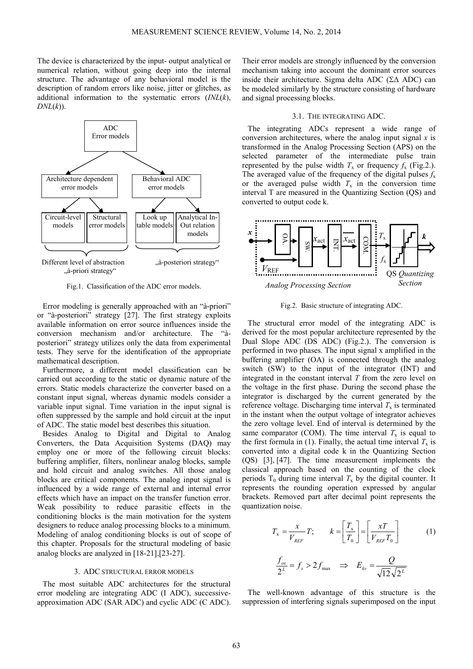The device is characterized by the input- output analytical or numerical relation, without going deep into the internal structure. The advantage of any behavioral model is the description of random errors like noise, jitter or glitches, as additional information to the systematic errors (*INL*(*k*), *DNL*(*k*)).



Fig.1. Classification of the ADC error models.

Error modeling is generally approached with an "à-priori" or "à-posteriori" strategy [27]. The first strategy exploits available information on error source influences inside the conversion mechanism and/or architecture. The "àposteriori" strategy utilizes only the data from experimental tests. They serve for the identification of the appropriate mathematical description.

Furthermore, a different model classification can be carried out according to the static or dynamic nature of the errors. Static models characterize the converter based on a constant input signal, whereas dynamic models consider a variable input signal. Time variation in the input signal is often suppressed by the sample and hold circuit at the input of ADC. The static model best describes this situation.

Besides Analog to Digital and Digital to Analog Converters, the Data Acquisition Systems (DAQ) may employ one or more of the following circuit blocks: buffering amplifier, filters, nonlinear analog blocks, sample and hold circuit and analog switches. All those analog blocks are critical components. The analog input signal is influenced by a wide range of external and internal error effects which have an impact on the transfer function error. Weak possibility to reduce parasitic effects in the conditioning blocks is the main motivation for the system designers to reduce analog processing blocks to a minimum. Modeling of analog conditioning blocks is out of scope of this chapter. Proposals for the structural modeling of basic analog blocks are analyzed in [18-21],[23-27].

# 3. ADC STRUCTURAL ERROR MODELS

The most suitable ADC architectures for the structural error modeling are integrating ADC (I ADC), successiveapproximation ADC (SAR ADC) and cyclic ADC (C ADC).

Their error models are strongly influenced by the conversion mechanism taking into account the dominant error sources inside their architecture. Sigma delta ADC (Σ∆ ADC) can be modeled similarly by the structure consisting of hardware and signal processing blocks.

## 3.1. THE INTEGRATING ADC.

The integrating ADCs represent a wide range of conversion architectures, where the analog input signal *x* is transformed in the Analog Processing Section (APS) on the selected parameter of the intermediate pulse train represented by the pulse width  $T_x$  or frequency  $f_x$  (Fig.2.). The averaged value of the frequency of the digital pulses  $f_x$ or the averaged pulse width  $T_x$  in the conversion time interval T are measured in the Quantizing Section (QS) and converted to output code k.



Fig.2. Basic structure of integrating ADC.

The structural error model of the integrating ADC is derived for the most popular architecture represented by the Dual Slope ADC (DS ADC) (Fig.2.). The conversion is performed in two phases. The input signal x amplified in the buffering amplifier (OA) is connected through the analog switch (SW) to the input of the integrator (INT) and integrated in the constant interval *T* from the zero level on the voltage in the first phase. During the second phase the integrator is discharged by the current generated by the reference voltage. Discharging time interval  $T<sub>x</sub>$  is terminated in the instant when the output voltage of integrator achieves the zero voltage level. End of interval is determined by the same comparator (COM). The time interval  $T_x$  is equal to the first formula in (1). Finally, the actual time interval  $T_x$  is converted into a digital code k in the Quantizing Section (QS) [3], [47]. The time measurement implements the classical approach based on the counting of the clock periods  $T_0$  during time interval  $T_x$  by the digital counter. It represents the rounding operation expressed by angular brackets. Removed part after decimal point represents the quantization noise.

$$
T_x = \frac{x}{V_{REF}} T; \qquad k = \left[ \frac{T_x}{T_0} \right] = \left[ \frac{xT}{V_{REF}T_0} \right]
$$
  

$$
\frac{f_{os}}{2^L} = f_s > 2f_{max} \implies E_{kv} = \frac{Q}{\sqrt{12}\sqrt{2^L}}
$$
 (1)

The well-known advantage of this structure is the suppression of interfering signals superimposed on the input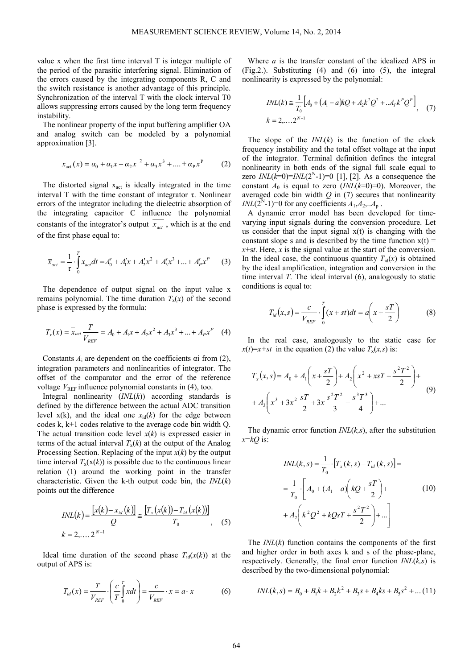value x when the first time interval T is integer multiple of the period of the parasitic interfering signal. Elimination of the errors caused by the integrating components R, C and the switch resistance is another advantage of this principle. Synchronization of the interval T with the clock interval T0 allows suppressing errors caused by the long term frequency instability.

The nonlinear property of the input buffering amplifier OA and analog switch can be modeled by a polynomial approximation [3].

$$
x_{\text{act}}(x) = \alpha_0 + \alpha_1 x + \alpha_2 x^2 + \alpha_3 x^3 + \dots + \alpha_p x^p \tag{2}
$$

The distorted signal  $x_{act}$  is ideally integrated in the time interval T with the time constant of integrator τ. Nonlinear errors of the integrator including the dielectric absorption of the integrating capacitor C influence the polynomial constants of the integrator's output  $x_{\text{act}}$ , which is at the end of the first phase equal to:

$$
\overline{x}_{act} = \frac{1}{\tau} \cdot \int_{0}^{T} x_{act} dt = A'_0 + A'_1 x + A'_2 x^2 + A'_3 x^3 + \dots + A'_p x^p \tag{3}
$$

The dependence of output signal on the input value x remains polynomial. The time duration  $T<sub>x</sub>(x)$  of the second phase is expressed by the formula:

$$
T_x(x) = \overline{x}_{act} \frac{T}{V_{REF}} = A_0 + A_1 x + A_2 x^2 + A_3 x^3 + ... + A_p x^p \quad (4)
$$

Constants  $A_i$  are dependent on the coefficients  $\alpha$  from (2), integration parameters and nonlinearities of integrator. The offset of the comparator and the error of the reference voltage  $V_{REF}$  influence polynomial constants in (4), too.

Integral nonlinearity (*INL*(*k*)) according standards is defined by the difference between the actual ADC transition level  $x(k)$ , and the ideal one  $x_{id}(k)$  for the edge between codes k, k+1 codes relative to the average code bin width Q. The actual transition code level *x*(*k*) is expressed easier in terms of the actual interval  $T<sub>x</sub>(k)$  at the output of the Analog Processing Section. Replacing of the input *x*(*k*) by the output time interval  $T_x(x(k))$  is possible due to the continuous linear relation (1) around the working point in the transfer characteristic. Given the k-th output code bin, the *INL*(*k*) points out the difference

$$
INL(k) = \frac{[x(k) - x_{id}(k)]}{Q} \approx \frac{[T_x(x(k)) - T_{id}(x(k))]}{T_0},
$$
 (5)  

$$
k = 2,..., 2^{N-1}
$$

Ideal time duration of the second phase  $T_{id}(x(k))$  at the output of APS is:

$$
T_{id}(x) = \frac{T}{V_{REF}} \cdot \left(\frac{c}{T} \int_0^T x dt\right) = \frac{c}{V_{REF}} \cdot x = a \cdot x \tag{6}
$$

Where *a* is the transfer constant of the idealized APS in (Fig.2.). Substituting (4) and (6) into (5), the integral nonlinearity is expressed by the polynomial:

$$
INL(k) \approx \frac{1}{T_0} \Big[ A_0 + (A_1 - a)kQ + A_2k^2Q^2 + ... A_p k^p Q^p \Big], \quad (7)
$$
  

$$
k = 2,..., 2^{N-1}
$$

The slope of the *INL*(*k*) is the function of the clock frequency instability and the total offset voltage at the input of the integrator. Terminal definition defines the integral nonlinearity in both ends of the signal full scale equal to zero  $INL(k=0) = INL(2<sup>N</sup>-1) = 0$  [1], [2]. As a consequence the constant  $A_0$  is equal to zero  $(INL(k=0)=0)$ . Moreover, the averaged code bin width *Q* in (7) secures that nonlinearity *INL*( $2^N$ -1)=0 for any coefficients  $A_1, A_2, \ldots, A_p$ .

A dynamic error model has been developed for timevarying input signals during the conversion procedure. Let us consider that the input signal  $x(t)$  is changing with the constant slope s and is described by the time function  $x(t) =$ *x*+s*t*. Here, *x* is the signal value at the start of the conversion. In the ideal case, the continuous quantity  $T_{\text{id}}(x)$  is obtained by the ideal amplification, integration and conversion in the time interval *T*. The ideal interval (6), analogously to static conditions is equal to:

$$
T_{id}(x,s) = \frac{c}{V_{REF}} \cdot \int_{0}^{T} (x+st)dt = a\left(x + \frac{sT}{2}\right)
$$
 (8)

In the real case, analogously to the static case for  $x(t)=x+st$  in the equation (2) the value  $T<sub>x</sub>(x,s)$  is:

$$
T_x(x, s) = A_0 + A_1 \left( x + \frac{sT}{2} \right) + A_2 \left( x^2 + xsT + \frac{s^2 T^2}{2} \right) +
$$
  
+ 
$$
A_3 \left( x^3 + 3x^2 \frac{sT}{2} + 3x \frac{s^2 T^2}{3} + \frac{s^3 T^3}{4} \right) + ...
$$
 (9)

The dynamic error function *INL*(*k,s*), after the substitution  $x= kQ$  is:

$$
INL(k, s) = \frac{1}{T_0} \cdot [T_x(k, s) - T_{id}(k, s)] =
$$
  
=  $\frac{1}{T_0} \cdot \left[ A_0 + (A_1 - a) \left(kQ + \frac{sT}{2}\right) + A_2 \left(k^2Q^2 + kQsT + \frac{s^2T^2}{2}\right) + ... \right]$  (10)

The *INL*(*k*) function contains the components of the first and higher order in both axes k and s of the phase-plane, respectively. Generally, the final error function *INL*(*k,s*) is described by the two-dimensional polynomial:

$$
INL(k, s) = B_0 + B_1k + B_2k^2 + B_3s + B_4ks + B_5s^2 + \dots (11)
$$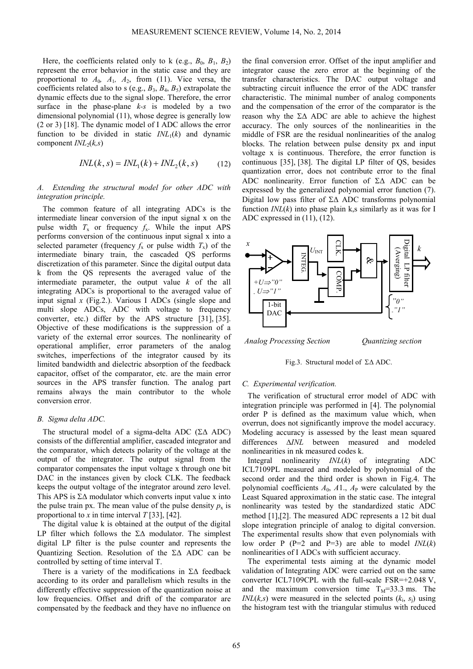Here, the coefficients related only to k (e.g.,  $B_0$ ,  $B_1$ ,  $B_2$ ) represent the error behavior in the static case and they are proportional to  $A_0$ ,  $A_1$ ,  $A_2$ , from (11). Vice versa, the coefficients related also to s (e.g.,  $B_3$ ,  $B_4$ ,  $B_5$ ) extrapolate the dynamic effects due to the signal slope. Therefore, the error surface in the phase-plane *k-s* is modeled by a two dimensional polynomial (11), whose degree is generally low (2 or 3) [18]. The dynamic model of I ADC allows the error function to be divided in static  $INL_1(k)$  and dynamic component  $INL_2(k,s)$ 

$$
INL(k, s) = INL1(k) + INL2(k, s)
$$
 (12)

# *A. Extending the structural model for other ADC with integration principle.*

The common feature of all integrating ADCs is the intermediate linear conversion of the input signal x on the pulse width  $T_x$  or frequency  $f_x$ . While the input APS performs conversion of the continuous input signal x into a selected parameter (frequency  $f_x$  or pulse width  $T_x$ ) of the intermediate binary train, the cascaded QS performs discretization of this parameter. Since the digital output data k from the QS represents the averaged value of the intermediate parameter, the output value *k* of the all integrating ADCs is proportional to the averaged value of input signal *x* (Fig.2.). Various I ADCs (single slope and multi slope ADCs, ADC with voltage to frequency converter, etc.) differ by the APS structure [31], [35]. Objective of these modifications is the suppression of a variety of the external error sources. The nonlinearity of operational amplifier, error parameters of the analog switches, imperfections of the integrator caused by its limited bandwidth and dielectric absorption of the feedback capacitor, offset of the comparator, etc. are the main error sources in the APS transfer function. The analog part remains always the main contributor to the whole conversion error.

#### *B. Sigma delta ADC.*

The structural model of a sigma-delta ADC (Σ∆ ADC) consists of the differential amplifier, cascaded integrator and the comparator, which detects polarity of the voltage at the output of the integrator. The output signal from the comparator compensates the input voltage x through one bit DAC in the instances given by clock CLK. The feedback keeps the output voltage of the integrator around zero level. This APS is  $\Sigma\Delta$  modulator which converts input value x into the pulse train px. The mean value of the pulse density  $p_x$  is proportional to *x* in time interval *T* [33], [42].

The digital value k is obtained at the output of the digital LP filter which follows the Σ∆ modulator. The simplest digital LP filter is the pulse counter and represents the Quantizing Section. Resolution of the Σ∆ ADC can be controlled by setting of time interval T.

There is a variety of the modifications in Σ∆ feedback according to its order and parallelism which results in the differently effective suppression of the quantization noise at low frequencies. Offset and drift of the comparator are compensated by the feedback and they have no influence on

the final conversion error. Offset of the input amplifier and integrator cause the zero error at the beginning of the transfer characteristics. The DAC output voltage and subtracting circuit influence the error of the ADC transfer characteristic. The minimal number of analog components and the compensation of the error of the comparator is the reason why the Σ∆ ADC are able to achieve the highest accuracy. The only sources of the nonlinearities in the middle of FSR are the residual nonlinearities of the analog blocks. The relation between pulse density px and input voltage x is continuous. Therefore, the error function is continuous [35], [38]. The digital LP filter of QS, besides quantization error, does not contribute error to the final ADC nonlinearity. Error function of Σ∆ ADC can be expressed by the generalized polynomial error function (7). Digital low pass filter of Σ∆ ADC transforms polynomial function  $INL(k)$  into phase plain k,s similarly as it was for I ADC expressed in (11), (12).



Fig.3. Structural model of Σ∆ ADC.

#### *C. Experimental verification.*

The verification of structural error model of ADC with integration principle was performed in [4]. The polynomial order P is defined as the maximum value which, when overrun, does not significantly improve the model accuracy. Modeling accuracy is assessed by the least mean squared differences ∆*INL* between measured and modeled nonlinearities in nk measured codes k.

Integral nonlinearity *INL*(*k*) of integrating ADC ICL7109PL measured and modeled by polynomial of the second order and the third order is shown in Fig.4. The polynomial coefficients  $A_0$ ,  $A_1$ ,  $A_p$  were calculated by the Least Squared approximation in the static case. The integral nonlinearity was tested by the standardized static ADC method [1],[2]. The measured ADC represents a 12 bit dual slope integration principle of analog to digital conversion. The experimental results show that even polynomials with low order P (P=2 and P=3) are able to model *INL*(*k*) nonlinearities of I ADCs with sufficient accuracy.

The experimental tests aiming at the dynamic model validation of Integrating ADC were carried out on the same converter ICL7109CPL with the full-scale FSR=+2.048 V, and the maximum conversion time  $T_M=33.3$  ms. The *INL*( $k$ ,  $s$ ) were measured in the selected points ( $k$ <sub>i</sub>,  $s$ <sub>j</sub>) using the histogram test with the triangular stimulus with reduced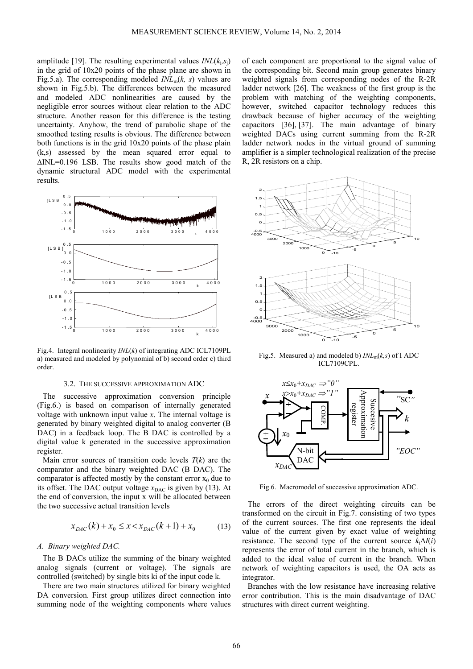amplitude [19]. The resulting experimental values  $INL(k_i, s_j)$ in the grid of 10x20 points of the phase plane are shown in Fig.5.a). The corresponding modeled  $INL<sub>m</sub>(k, s)$  values are shown in Fig.5.b). The differences between the measured and modeled ADC nonlinearities are caused by the negligible error sources without clear relation to the ADC structure. Another reason for this difference is the testing uncertainty. Anyhow, the trend of parabolic shape of the smoothed testing results is obvious. The difference between both functions is in the grid 10x20 points of the phase plain (k,s) assessed by the mean squared error equal to ∆INL=0.196 LSB. The results show good match of the dynamic structural ADC model with the experimental results.



Fig.4. Integral nonlinearity *INL*(*k*) of integrating ADC ICL7109PL a) measured and modeled by polynomial of b) second order c) third order.

#### 3.2. THE SUCCESSIVE APPROXIMATION ADC

The successive approximation conversion principle (Fig.6.) is based on comparison of internally generated voltage with unknown input value *x*. The internal voltage is generated by binary weighted digital to analog converter (B DAC) in a feedback loop. The B DAC is controlled by a digital value k generated in the successive approximation register.

Main error sources of transition code levels  $T(k)$  are the comparator and the binary weighted DAC (B DAC). The comparator is affected mostly by the constant error  $x_0$  due to its offset. The DAC output voltage  $x_{\text{DAC}}$  is given by (13). At the end of conversion, the input x will be allocated between the two successive actual transition levels

$$
x_{DAC}(k) + x_0 \le x < x_{DAC}(k+1) + x_0 \tag{13}
$$

## *A. Binary weighted DAC.*

The B DACs utilize the summing of the binary weighted analog signals (current or voltage). The signals are controlled (switched) by single bits ki of the input code k.

There are two main structures utilized for binary weighted DA conversion. First group utilizes direct connection into summing node of the weighting components where values of each component are proportional to the signal value of the corresponding bit. Second main group generates binary weighted signals from corresponding nodes of the R-2R ladder network [26]. The weakness of the first group is the problem with matching of the weighting components, however, switched capacitor technology reduces this drawback because of higher accuracy of the weighting capacitors [36], [37]. The main advantage of binary weighted DACs using current summing from the R-2R ladder network nodes in the virtual ground of summing amplifier is a simpler technological realization of the precise R, 2R resistors on a chip.



Fig.5. Measured a) and modeled b) *INL*m(*k,s*) of I ADC ICL7109CPL.



Fig.6. Macromodel of successive approximation ADC.

The errors of the direct weighting circuits can be transformed on the circuit in Fig.7. consisting of two types of the current sources. The first one represents the ideal value of the current given by exact value of weighting resistance. The second type of the current source  $k_i\Delta I(i)$ represents the error of total current in the branch, which is added to the ideal value of current in the branch. When network of weighting capacitors is used, the OA acts as integrator.

Branches with the low resistance have increasing relative error contribution. This is the main disadvantage of DAC structures with direct current weighting.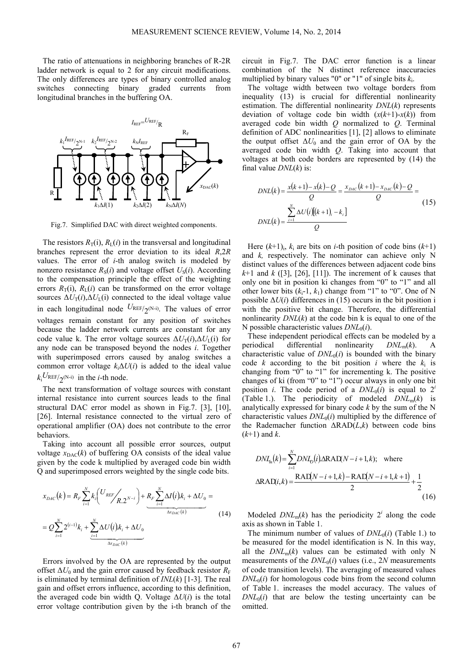The ratio of attenuations in neighboring branches of R-2R ladder network is equal to 2 for any circuit modifications. The only differences are types of binary controlled analog switches connecting binary graded currents from longitudinal branches in the buffering OA.



Fig.7. Simplified DAC with direct weighted components.

The resistors  $R_T(i)$ ,  $R_I(i)$  in the transversal and longitudinal branches represent the error deviation to its ideal *R*,2*R* values. The error of *i*-th analog switch is modeled by nonzero resistance  $R_S(i)$  and voltage offset  $U_S(i)$ . According to the compensation principle the effect of the weighting errors  $R_T(i)$ ,  $R_L(i)$  can be transformed on the error voltage sources  $\Delta U_T(i)$ ,  $\Delta U_L(i)$  connected to the ideal voltage value in each longitudinal node  $U_{\text{REF}/2^{(N-i)}}$ . The values of error voltages remain constant for any position of switches because the ladder network currents are constant for any code value k. The error voltage sources  $\Delta U_T(i)$ , $\Delta U_I(i)$  for any node can be transposed beyond the nodes *i*. Together with superimposed errors caused by analog switches a common error voltage *k*i∆*U*(*i*) is added to the ideal value  $k_i^{U_{\text{REF/2}}(N-i)}$  in the *i*-th node.

The next transformation of voltage sources with constant internal resistance into current sources leads to the final structural DAC error model as shown in Fig.7. [3], [10], [26]. Internal resistance connected to the virtual zero of operational amplifier (OA) does not contribute to the error behaviors.

Taking into account all possible error sources, output voltage  $x_{\text{DAC}}(k)$  of buffering OA consists of the ideal value given by the code k multiplied by averaged code bin width Q and superimposed errors weighted by the single code bits.

$$
x_{DAC}(k) = R_F \sum_{i=1}^{N} k_i \left( \frac{U_{REF}}{R \cdot 2^{N-i}} \right) + \underbrace{R_F \sum_{i=1}^{N} \Delta I(i) k_i + \Delta U_0}_{\Delta x_{DAC}(k)} =
$$
\n
$$
= Q \sum_{i=1}^{N} 2^{(i-1)} k_i + \sum_{i=1}^{N} \Delta U(i) k_i + \Delta U_0
$$
\n
$$
(14)
$$

Errors involved by the OA are represented by the output offset Δ*U*<sub>0</sub> and the gain error caused by feedback resistor  $R_F$ is eliminated by terminal definition of *INL*(*k*) [1-3]. The real gain and offset errors influence, according to this definition, the averaged code bin width Q. Voltage ∆*U*(*i*) is the total error voltage contribution given by the i-th branch of the circuit in Fig.7. The DAC error function is a linear combination of the N distinct reference inaccuracies multiplied by binary values "0" or "1" of single bits *k*<sup>i</sup> .

The voltage width between two voltage borders from inequality (13) is crucial for differential nonlinearity estimation. The differential nonlinearity *DNL*(*k*) represents deviation of voltage code bin width  $(x(k+1)-x(k))$  from averaged code bin width *Q* normalized to *Q*. Terminal definition of ADC nonlinearities [1], [2] allows to eliminate the output offset ∆*U*0 and the gain error of OA by the averaged code bin width *Q*. Taking into account that voltages at both code borders are represented by (14) the final value *DNL*(*k*) is:

$$
DNL(k) = \frac{x(k+1) - x(k) - Q}{Q} = \frac{x_{DAC}(k+1) - x_{DAC}(k) - Q}{Q} =
$$
\n
$$
DNL(k) = \frac{\sum_{i=1}^{N} \Delta U(i)[(k+1), -k_i]}{Q}
$$
\n(15)

Here  $(k+1)$ <sub>i</sub>,  $k_i$  are bits on *i*-th position of code bins  $(k+1)$ and *k,* respectively. The nominator can achieve only N distinct values of the differences between adjacent code bins  $k+1$  and  $k$  ([3], [26], [11]). The increment of k causes that only one bit in position ki changes from "0" to "1" and all other lower bits  $(k_i-1, k_1)$  change from "1" to "0". One of N possible  $\Delta U(i)$  differences in (15) occurs in the bit position i with the positive bit change. Therefore, the differential nonlinearity  $DNL(k)$  at the code bin k is equal to one of the N possible characteristic values *DNL*0(*i*).

These independent periodical effects can be modeled by a periodical differential nonlinearity *DNL*m(*k*). A characteristic value of  $DNL<sub>0</sub>(i)$  is bounded with the binary code *k* according to the bit position *i* where the  $k_i$  is changing from "0" to "1" for incrementing k. The positive changes of ki (from "0" to "1") occur always in only one bit position *i*. The code period of a  $DNL_0(i)$  is equal to  $2^i$ (Table 1.). The periodicity of modeled  $DNL_m(k)$  is analytically expressed for binary code *k* by the sum of the N characteristic values  $DNL<sub>0</sub>(i)$  multiplied by the difference of the Rademacher function ∆RAD(*L*,*k*) between code bins (*k*+1) and *k*.

$$
DNI_{m}(k) = \sum_{i=1}^{N} DNI_{0}(i)\Delta RAI(N-i+1,k); \text{ where}
$$
  
 
$$
\Delta RAI(i,k) = \frac{RAI(N-i+1,k) - RAI(N-i+1,k+1)}{2} + \frac{1}{2}
$$
 (16)

Modeled  $DNL_m(k)$  has the periodicity  $2^i$  along the code axis as shown in Table 1.

The minimum number of values of  $DNL<sub>0</sub>(i)$  (Table 1.) to be measured for the model identification is N. In this way, all the  $DNL_m(k)$  values can be estimated with only N measurements of the  $DNL<sub>0</sub>(i)$  values (i.e., 2*N* measurements of code transition levels). The averaging of measured values  $DNL<sub>0</sub>(i)$  for homologous code bins from the second column of Table 1. increases the model accuracy. The values of  $DNL<sub>0</sub>(i)$  that are below the testing uncertainty can be omitted.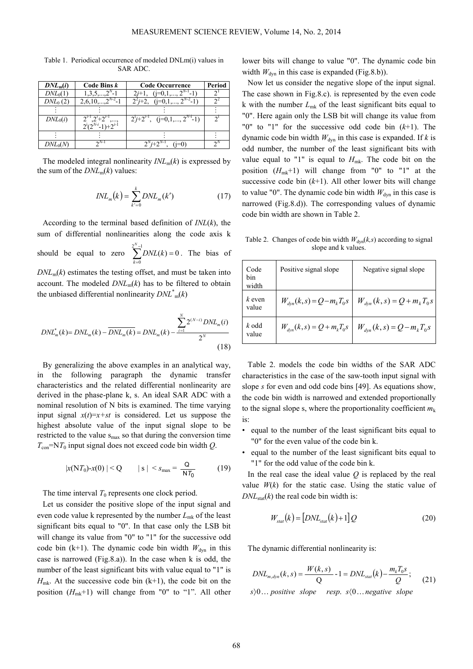| $DNL_{m}(i)$         | Code Bins k                          | <b>Code Occurrence</b>                  | Period |
|----------------------|--------------------------------------|-----------------------------------------|--------|
| $DNL_0(1)$           |                                      | $(i=0,1,,2^t)$<br>$2i+1$                |        |
| DNL <sub>0</sub> (2) | $2,6,10,,2^{N-2}$                    | $2^{2}j+2$ , $(j=0,1,,2^{N-2}-1)$       |        |
|                      |                                      |                                         |        |
| $DNL_0(i)$           | $2^{i-1}$ , $2^{i}+2^{i-1}$ .        | $2^{i}j+2^{i-1}$ , $(j=0,1,,2^{N-i}-1)$ |        |
|                      | $\frac{2}{2^{i}(2^{N-i}-1)+2^{i-1}}$ |                                         |        |
|                      |                                      |                                         |        |
| $DNL_0(N)$           | $\gamma$ <sup>N-1</sup>              | $2^{N}i+2^{N-1}$                        |        |

Table 1. Periodical occurrence of modeled DNLm(i) values in SAR ADC.

The modeled integral nonlinearity  $INL_m(k)$  is expressed by the sum of the  $DNL_m(k)$  values:

$$
INL_m(k) = \sum_{k'=0}^{k} DNL_m(k')
$$
 (17)

According to the terminal based definition of *INL*(*k*), the sum of differential nonlinearities along the code axis k should be equal to zero  $\sum_{n=1}^{2^{N}-1} DNL(k) = 0$  $\sum_{k=0}^{2^N-1} DNL(k) =$ = *N k*  $DNL(k) = 0$ . The bias of  $DNL<sub>m</sub>(k)$  estimates the testing offset, and must be taken into account. The modeled  $DNL_m(k)$  has to be filtered to obtain the unbiased differential nonlinearity *DNL*\* <sup>m</sup>(*k*)

$$
DNL_m^*(k) = DNL_m(k) - \overline{DNL_m(k)} = DNL_m(k) - \frac{\sum_{i=1}^{N} 2^{(N-i)} DNL_m(i)}{2^N}
$$
\n(18)

By generalizing the above examples in an analytical way, in the following paragraph the dynamic transfer characteristics and the related differential nonlinearity are derived in the phase-plane k, s. An ideal SAR ADC with a nominal resolution of N bits is examined. The time varying input signal  $x(t)=x+st$  is considered. Let us suppose the highest absolute value of the input signal slope to be restricted to the value  $s_{\text{max}}$  so that during the conversion time  $T_{\text{con}}$ =N $T_0$  input signal does not exceed code bin width *Q*.

$$
|x(NT_0)-x(0)| < Q \t |s| < s_{\max} = \frac{Q}{NT_0} \t (19)
$$

The time interval  $T_0$  represents one clock period.

Let us consider the positive slope of the input signal and even code value k represented by the number  $L_{mk}$  of the least significant bits equal to "0". In that case only the LSB bit will change its value from "0" to "1" for the successive odd code bin (k+1). The dynamic code bin width  $W_{dyn}$  in this case is narrowed (Fig.8.a)). In the case when k is odd, the number of the least significant bits with value equal to "1" is  $H_{mk}$ . At the successive code bin  $(k+1)$ , the code bit on the position (*H*mk+1) will change from "0" to "1". All other lower bits will change to value "0". The dynamic code bin width  $W_{dyn}$  in this case is expanded (Fig.8.b)).

Now let us consider the negative slope of the input signal. The case shown in Fig.8.c). is represented by the even code k with the number *L*mk of the least significant bits equal to "0". Here again only the LSB bit will change its value from "0" to "1" for the successive odd code bin (*k*+1). The dynamic code bin width  $W_{dyn}$  in this case is expanded. If *k* is odd number, the number of the least significant bits with value equal to "1" is equal to  $H_{mk}$ . The code bit on the position  $(H_{mk}+1)$  will change from "0" to "1" at the successive code bin  $(k+1)$ . All other lower bits will change to value "0". The dynamic code bin width  $W_{dyn}$  in this case is narrowed (Fig.8.d)). The corresponding values of dynamic code bin width are shown in Table 2.

Table 2. Changes of code bin width  $W_{dyn}(k, s)$  according to signal slope and k values.

| Code<br>bin<br>width | Positive signal slope           | Negative signal slope             |
|----------------------|---------------------------------|-----------------------------------|
| $k$ even<br>value    | $W_{dyn}(k, s) = Q - m_k T_0 s$ | $W_{dyn}(k, s) = Q + m_{k}T_{0}s$ |
| k odd<br>value       | $W_{dyn}(k, s) = Q + m_k T_0 s$ | $W_{dyn}(k, s) = Q - m_k T_0 s$   |

Table 2. models the code bin widths of the SAR ADC characteristics in the case of the saw-tooth input signal with slope *s* for even and odd code bins [49]. As equations show, the code bin width is narrowed and extended proportionally to the signal slope s, where the proportionality coefficient  $m_k$ is:

- equal to the number of the least significant bits equal to "0" for the even value of the code bin k.
- equal to the number of the least significant bits equal to "1" for the odd value of the code bin k.

In the real case the ideal value *Q* is replaced by the real value  $W(k)$  for the static case. Using the static value of  $DNL<sub>stat</sub>(k)$  the real code bin width is:

$$
W_{\text{stat}}(k) = [DNL_{\text{stat}}(k) + 1]Q \tag{20}
$$

The dynamic differential nonlinearity is:

$$
DNL_{m,dyn}(k,s) = \frac{W(k,s)}{Q} - 1 = DNL_{stat}(k) - \frac{m_k T_0 s}{Q};
$$
  
s $\rangle 0...$  positive slope resp. s $\langle 0...$  negative slope (21)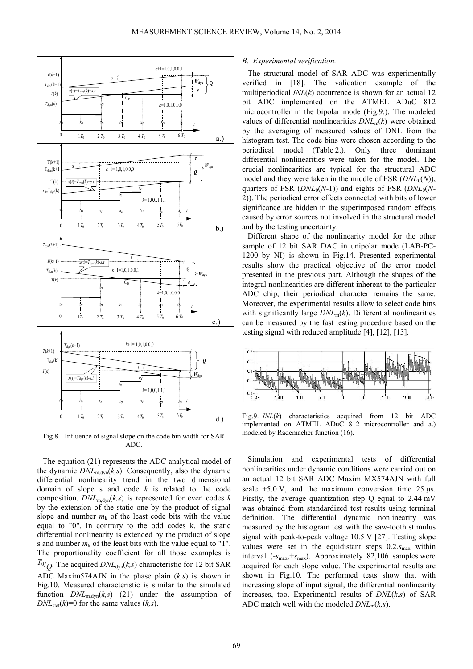

Fig.8. Influence of signal slope on the code bin width for SAR ADC.

The equation (21) represents the ADC analytical model of the dynamic  $DNL_{m,dyn}(k,s)$ . Consequently, also the dynamic differential nonlinearity trend in the two dimensional domain of slope s and code *k* is related to the code composition.  $DNL_{m, dyn}(k, s)$  is represented for even codes  $k$ by the extension of the static one by the product of signal slope and number  $m_k$  of the least code bits with the value equal to "0". In contrary to the odd codes k, the static differential nonlinearity is extended by the product of slope s and number  $m_k$  of the least bits with the value equal to "1". The proportionality coefficient for all those examples is  $T_{0/2}$ . The acquired *DNL*<sub>dyn</sub>(*k,s*) characteristic for 12 bit SAR ADC Maxim574AJN in the phase plain (*k,s*) is shown in Fig.10. Measured characteristic is similar to the simulated function  $DNL_{m,dyn}(k,s)$  (21) under the assumption of  $DNL<sub>stat</sub>(k)=0$  for the same values  $(k, s)$ .

## *B. Experimental verification.*

The structural model of SAR ADC was experimentally verified in [18]. The validation example of the multiperiodical *INL*(*k*) occurrence is shown for an actual 12 bit ADC implemented on the ATMEL ADuC 812 microcontroller in the bipolar mode (Fig.9.). The modeled values of differential nonlinearities *DNL*m(*k*) were obtained by the averaging of measured values of DNL from the histogram test. The code bins were chosen according to the periodical model (Table 2.). Only three dominant differential nonlinearities were taken for the model. The crucial nonlinearities are typical for the structural ADC model and they were taken in the middle of FSR  $(DNL<sub>0</sub>(N))$ , quarters of FSR (*DNL*<sub>0</sub>(*N*-1)) and eights of FSR (*DNL*<sub>0</sub>(*N*-2)). The periodical error effects connected with bits of lower significance are hidden in the superimposed random effects caused by error sources not involved in the structural model and by the testing uncertainty.

Different shape of the nonlinearity model for the other sample of 12 bit SAR DAC in unipolar mode (LAB-PC-1200 by NI) is shown in Fig.14. Presented experimental results show the practical objective of the error model presented in the previous part. Although the shapes of the integral nonlinearities are different inherent to the particular ADC chip, their periodical character remains the same. Moreover, the experimental results allow to select code bins with significantly large  $DNL_m(k)$ . Differential nonlinearities can be measured by the fast testing procedure based on the testing signal with reduced amplitude [4], [12], [13].



Fig.9. *INL*(*k*) characteristics acquired from 12 bit ADC implemented on ATMEL ADuC 812 microcontroller and a.) modeled by Rademacher function (16).

Simulation and experimental tests of differential nonlinearities under dynamic conditions were carried out on an actual 12 bit SAR ADC Maxim MX574AJN with full scale  $\pm$ 5.0 V, and the maximum conversion time 25  $\mu$ s. Firstly, the average quantization step Q equal to 2.44 mV was obtained from standardized test results using terminal definition. The differential dynamic nonlinearity was measured by the histogram test with the saw-tooth stimulus signal with peak-to-peak voltage 10.5 V [27]. Testing slope values were set in the equidistant steps  $0.2 \text{ s}_{\text{max}}$  within interval  $(-s_{\text{max}}, +s_{\text{max}})$ . Approximately 82,106 samples were acquired for each slope value. The experimental results are shown in Fig.10. The performed tests show that with increasing slope of input signal, the differential nonlinearity increases, too. Experimental results of *DNL*(*k*,*s*) of SAR ADC match well with the modeled *DNL*m(*k,s*).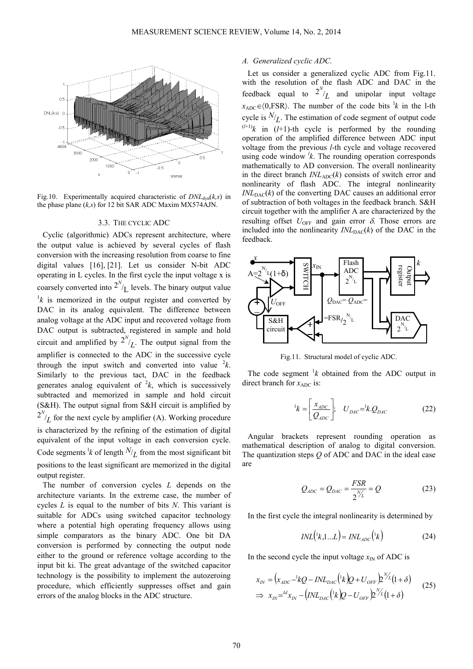

Fig.10. Experimentally acquired characteristic of  $DNL_{dyn}(k,s)$  in the phase plane (*k,s*) for 12 bit SAR ADC Maxim MX574AJN.

## 3.3. THE CYCLIC ADC

Cyclic (algorithmic) ADCs represent architecture, where the output value is achieved by several cycles of flash conversion with the increasing resolution from coarse to fine digital values [16], [21]. Let us consider N-bit ADC operating in L cycles. In the first cycle the input voltage x is coarsely converted into  $2^{N}/L$  levels. The binary output value  $\frac{1}{k}$  is memorized in the output register and converted by DAC in its analog equivalent. The difference between analog voltage at the ADC input and recovered voltage from DAC output is subtracted, registered in sample and hold circuit and amplified by  $2^{N}/L$ . The output signal from the amplifier is connected to the ADC in the successive cycle through the input switch and converted into value  ${}^{2}k$ . Similarly to the previous tact, DAC in the feedback generates analog equivalent of  ${}^{2}k$ , which is successively subtracted and memorized in sample and hold circuit (S&H). The output signal from S&H circuit is amplified by  $2^{N}/L$  for the next cycle by amplifier (A). Working procedure is characterized by the refining of the estimation of digital equivalent of the input voltage in each conversion cycle. Code segments <sup>1</sup> $k$  of length  $N/L$  from the most significant bit positions to the least significant are memorized in the digital output register.

The number of conversion cycles *L* depends on the architecture variants. In the extreme case, the number of cycles *L* is equal to the number of bits *N*. This variant is suitable for ADCs using switched capacitor technology where a potential high operating frequency allows using simple comparators as the binary ADC. One bit DA conversion is performed by connecting the output node either to the ground or reference voltage according to the input bit ki. The great advantage of the switched capacitor technology is the possibility to implement the autozeroing procedure, which efficiently suppresses offset and gain errors of the analog blocks in the ADC structure.

#### *A. Generalized cyclic ADC.*

Let us consider a generalized cyclic ADC from Fig.11. with the resolution of the flash ADC and DAC in the feedback equal to  $2^{N}/L$  and unipolar input voltage  $x_{ADC} \in (0, FSR)$ . The number of the code bits <sup>1</sup>*k* in the 1-th cycle is  $N/L$ . The estimation of code segment of output code  $(l+1)$ k in (*l*+1)-th cycle is performed by the rounding operation of the amplified difference between ADC input voltage from the previous *l*-th cycle and voltage recovered using code window  $k$ . The rounding operation corresponds mathematically to AD conversion. The overall nonlinearity in the direct branch  $INL_{ADC}(k)$  consists of switch error and nonlinearity of flash ADC. The integral nonlinearity  $INL<sub>DAC</sub>(k)$  of the converting DAC causes an additional error of subtraction of both voltages in the feedback branch. S&H circuit together with the amplifier A are characterized by the resulting offset  $U_{\text{OFF}}$  and gain error  $\delta$ . Those errors are included into the nonlinearity  $INL_{\text{DAC}}(k)$  of the DAC in the feedback.



Fig.11. Structural model of cyclic ADC.

The code segment  $\frac{1}{k}$  obtained from the ADC output in direct branch for  $x_{ADC}$  is:

$$
{}^{1}k = \left[\frac{x_{ADC}}{Q_{ADC}}\right]; \quad U_{DAC} = {}^{1}k \cdot Q_{DAC} \tag{22}
$$

Angular brackets represent rounding operation as mathematical description of analog to digital conversion. The quantization steps *Q* of ADC and DAC in the ideal case are

$$
Q_{ADC} = Q_{DAC} = \frac{FSR}{2^{N/L}} = Q
$$
 (23)

In the first cycle the integral nonlinearity is determined by

$$
INL(\lbrace ^1k,1...L\rbrace) = INL_{ADC}(\lbrace ^1k\rbrace) \tag{24}
$$

In the second cycle the input voltage  $x_{\text{IN}}$  of ADC is

$$
x_{IN} = (x_{ADC} - {}^1kQ - INL_{DAC}({}^1k)Q + U_{OFF})2^{\mathcal{V}_L}(1+\delta)
$$
  
\n
$$
\Rightarrow x_{IN} = {}^{ld}x_{IN} - (INL_{DAC}({}^1k)Q - U_{OFF})2^{\mathcal{V}_L}(1+\delta)
$$
\n(25)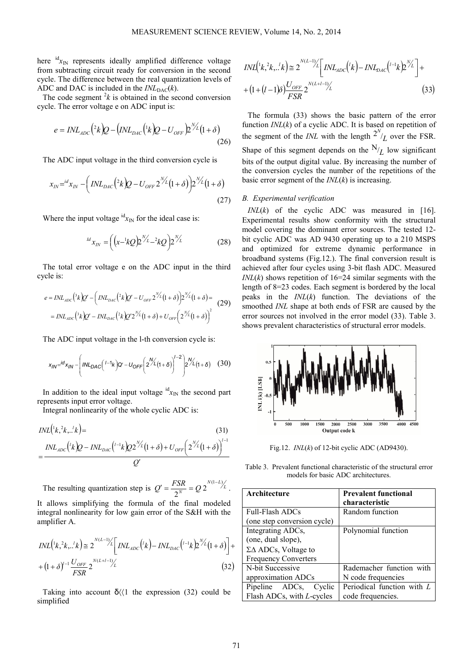here <sup>id</sup>x<sub>IN</sub> represents ideally amplified difference voltage from subtracting circuit ready for conversion in the second cycle. The difference between the real quantization levels of ADC and DAC is included in the  $INL_{\text{DAC}}(k)$ .

The code segment  $2k$  is obtained in the second conversion cycle. The error voltage e on ADC input is:

$$
e = INL_{ADC} \left(^2 k \right) Q - \left( INL_{DAC} \left(^1 k \right) Q - U_{OFF} \right)^{N/L} \left( 1 + \delta \right)
$$
\n<sup>(26)</sup>

The ADC input voltage in the third conversion cycle is

$$
x_{IN} = {}^{id}x_{IN} - \left( INL_{DAC} ({}^{2}k)Q - U_{OFF} 2^{\frac{N}{2}}(1+\delta) \right) 2^{\frac{N}{2}}(1+\delta)
$$
\n(27)

Where the input voltage  ${}^{id}x_N$  for the ideal case is:

$$
^{ld}x_{IN} = \left( \left( x^{-1}kQ \right) \frac{N}{L} - 2kQ \right) 2^{N/L} \tag{28}
$$

The total error voltage e on the ADC input in the third cycle is:

$$
e = INL_{ADC}({}^{3}k)Q' - \left( INL_{DAC}({}^{2}k)Q' - U_{OFF}2^{N_{L}}(1+\delta) \right)2^{N_{L}}(1+\delta) =
$$
  
= INL<sub>ADC</sub>(<sup>3</sup>k)Q' - INL<sub>DAC</sub>(<sup>2</sup>k)Q'2<sup>N</sup>/L(1+\delta) + U<sub>OFF</sub>(2<sup>N</sup>/L(1+\delta))<sup>2</sup> (29)

The ADC input voltage in the l-th conversion cycle is:

$$
x_{IN} = \frac{d}{d}x_{IN} - \left(\frac{INL_{DAC}(I - 1_K)}{Q'} - U_{OFF}\left(\frac{2\%}{1+\delta}\right)\right)^{I-2}\left(\frac{2\%}{1+\delta}\right) \tag{30}
$$

In addition to the ideal input voltage  ${}^{id}x_{IN}$  the second part represents input error voltage.

Integral nonlinearity of the whole cyclic ADC is:

$$
INL({}^{1}k, {}^{2}k, . {}^{l}k) =
$$
\n
$$
= \frac{INL_{ADC}({}^{l}k)Q - INL_{DAC}({}^{l-1}k)Q2^{N_{L}'}(1+\delta) + U_{OFF}(2^{N_{L}'}(1+\delta))^{l-1}}{Q'}
$$
\n(31)

The resulting quantization step is  $Q' = \frac{FSR}{2^N} = Q 2^{\frac{N(1-L)}{L}}$  $v' = \frac{FSR}{2N} = Q 2^{N(1-L)/L}$ . It allows simplifying the formula of the final modeled integral nonlinearity for low gain error of the S&H with the amplifier A.

$$
INL({}^{1}k, {}^{2}k, ... {}^{l}k) \cong 2^{N(L-1)/2} \left[ INL_{ADC}({}^{l}k) - INL_{DAC}({}^{l-1}k)2^{N/L}(1+\delta) \right] +
$$
  
+  $(1+\delta)^{V-1} \frac{U_{OFF}}{FSR} 2^{N(L+l-1)/2}$  (32)

Taking into account  $\delta(1)$  the expression (32) could be simplified

$$
INL(\lbrace k, {}^{2}k, \cdot, {}^{l}k \rbrace) \cong 2^{N(L-1)/L} \left[ INL_{ADC}(\lbrace {}^{l}k \rbrace - INL_{DAC}(\lbrace {}^{l-1}k \rbrace 2^{N/L}) \right] +
$$

$$
+ (1 + (l-1)\delta) \frac{U_{OFF}}{FSR} 2^{N(L+l-1)/L}
$$
(33)

The formula (33) shows the basic pattern of the error function *INL*(*k*) of a cyclic ADC. It is based on repetition of the segment of the *INL* with the length  $2^{N}/L$  over the FSR. Shape of this segment depends on the  $N/L$  low significant bits of the output digital value. By increasing the number of the conversion cycles the number of the repetitions of the basic error segment of the *INL*(*k*) is increasing.

### *B. Experimental verification*

 $INL(k)$  of the cyclic ADC was measured in [16]. Experimental results show conformity with the structural model covering the dominant error sources. The tested 12 bit cyclic ADC was AD 9430 operating up to a 210 MSPS and optimized for extreme dynamic performance in broadband systems (Fig.12.). The final conversion result is achieved after four cycles using 3-bit flash ADC. Measured *INL* $(k)$  shows repetition of 16=24 similar segments with the length of 8=23 codes. Each segment is bordered by the local peaks in the *INL*(*k*) function. The deviations of the smoothed *INL* shape at both ends of FSR are caused by the error sources not involved in the error model (33). Table 3. shows prevalent characteristics of structural error models.



Fig.12. *INL*(*k*) of 12-bit cyclic ADC (AD9430).

Table 3. Prevalent functional characteristic of the structural error models for basic ADC architectures.

| Architecture                      | <b>Prevalent functional</b> |
|-----------------------------------|-----------------------------|
|                                   | characteristic              |
| <b>Full-Flash ADCs</b>            | Random function             |
| (one step conversion cycle)       |                             |
| Integrating ADCs,                 | Polynomial function         |
| (one, dual slope),                |                             |
| $\Sigma\Delta$ ADCs, Voltage to   |                             |
| <b>Frequency Converters</b>       |                             |
| N-bit Successive                  | Rademacher function with    |
| approximation ADCs                | N code frequencies          |
| Pipeline ADCs,<br>Cyclic          | Periodical function with L  |
| Flash ADCs, with <i>L</i> -cycles | code frequencies.           |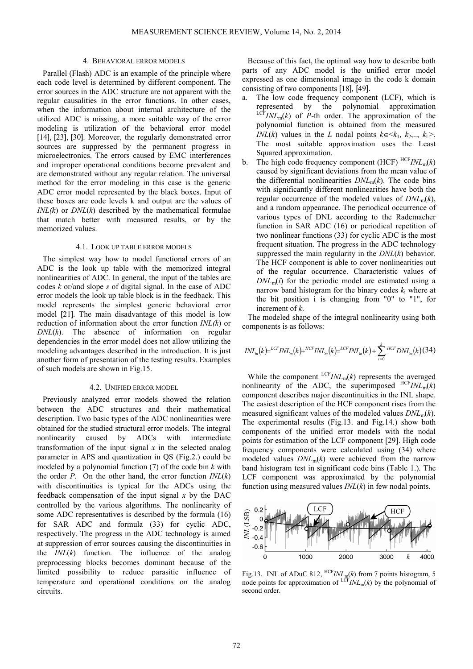#### 4. BEHAVIORAL ERROR MODELS

Parallel (Flash) ADC is an example of the principle where each code level is determined by different component. The error sources in the ADC structure are not apparent with the regular causalities in the error functions. In other cases, when the information about internal architecture of the utilized ADC is missing, a more suitable way of the error modeling is utilization of the behavioral error model [14], [23], [30]. Moreover, the regularly demonstrated error sources are suppressed by the permanent progress in microelectronics. The errors caused by EMC interferences and improper operational conditions become prevalent and are demonstrated without any regular relation. The universal method for the error modeling in this case is the generic ADC error model represented by the black boxes. Input of these boxes are code levels k and output are the values of *INL(k*) or *DNL*(*k*) described by the mathematical formulae that match better with measured results, or by the memorized values.

#### 4.1. LOOK UP TABLE ERROR MODELS

The simplest way how to model functional errors of an ADC is the look up table with the memorized integral nonlinearities of ADC. In general, the input of the tables are codes *k* or/and slope *s* of digital signal. In the case of ADC error models the look up table block is in the feedback. This model represents the simplest generic behavioral error model [21]. The main disadvantage of this model is low reduction of information about the error function *INL(k*) or *DNL*(*k*). The absence of information on regular dependencies in the error model does not allow utilizing the modeling advantages described in the introduction. It is just another form of presentation of the testing results. Examples of such models are shown in Fig.15.

#### 4.2. UNIFIED ERROR MODEL

Previously analyzed error models showed the relation between the ADC structures and their mathematical description. Two basic types of the ADC nonlinearities were obtained for the studied structural error models. The integral nonlinearity caused by ADCs with intermediate transformation of the input signal  $x$  in the selected analog parameter in APS and quantization in QS (Fig.2.) could be modeled by a polynomial function (7) of the code bin *k* with the order *P*. On the other hand, the error function *INL*(*k*) with discontinuities is typical for the ADCs using the feedback compensation of the input signal *x* by the DAC controlled by the various algorithms. The nonlinearity of some ADC representatives is described by the formula (16) for SAR ADC and formula (33) for cyclic ADC, respectively. The progress in the ADC technology is aimed at suppression of error sources causing the discontinuities in the *INL*(*k*) function. The influence of the analog preprocessing blocks becomes dominant because of the limited possibility to reduce parasitic influence of temperature and operational conditions on the analog circuits.

Because of this fact, the optimal way how to describe both parts of any ADC model is the unified error model expressed as one dimensional image in the code k domain consisting of two components [18], [49].

- The low code frequency component (LCF), which is represented by the polynomial approximation  $LCF$ *INL<sub>m</sub>*(*k*) of *P*-th order. The approximation of the polynomial function is obtained from the measured *INL*(*k*) values in the *L* nodal points  $k \in \leq k_1, k_2, \ldots, k_l$ >. The most suitable approximation uses the Least Squared approximation.
- b. The high code frequency component  $(HCF)^{HCF} INL_m(k)$ caused by significant deviations from the mean value of the differential nonlinearities  $DNL_m(k)$ . The code bins with significantly different nonlinearities have both the regular occurrence of the modeled values of  $DNL_m(k)$ , and a random appearance. The periodical occurrence of various types of DNL according to the Rademacher function in SAR ADC (16) or periodical repetition of two nonlinear functions (33) for cyclic ADC is the most frequent situation. The progress in the ADC technology suppressed the main regularity in the *DNL*(*k*) behavior. The HCF component is able to cover nonlinearities out of the regular occurrence. Characteristic values of  $DNL<sub>m</sub>(i)$  for the periodic model are estimated using a narrow band histogram for the binary codes  $k_i$  where at the bit position i is changing from "0" to "1", for increment of *k*.

The modeled shape of the integral nonlinearity using both components is as follows:

$$
INL_{m}(k) = {}^{LCF}INL_{m}(k) + {}^{HCF}INL_{m}(k) = {}^{LCF}INL_{m}(k) + \sum_{i=0}^{k} {}^{HCF}DNL_{m}(k)
$$
(34)

While the component  ${}^{LCF}INL_m(k)$  represents the averaged nonlinearity of the ADC, the superimposed  $HCFINL_m(k)$ component describes major discontinuities in the INL shape. The easiest description of the HCF component rises from the measured significant values of the modeled values  $DNL_m(k)$ . The experimental results (Fig.13. and Fig.14.) show both components of the unified error models with the nodal points for estimation of the LCF component [29]. High code frequency components were calculated using (34) where modeled values  $DNL_m(k)$  were achieved from the narrow band histogram test in significant code bins (Table 1.). The LCF component was approximated by the polynomial function using measured values *INL*(*k*) in few nodal points.



Fig.13. INL of ADuC 812,  ${}^{HCF}INL_m(k)$  from 7 points histogram, 5 node points for approximation of  ${}^{LCF}INL_m(k)$  by the polynomial of second order.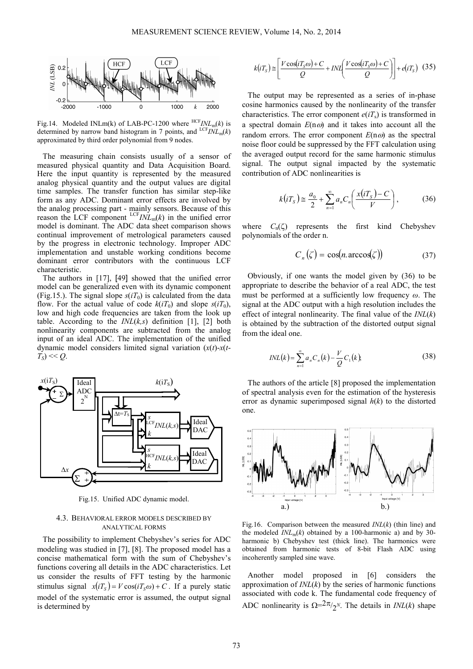

Fig.14. Modeled INLm(k) of LAB-PC-1200 where  $HCFINL_m(k)$  is determined by narrow band histogram in 7 points, and  $LCF<sub>INL<sub>m</sub></sub>(k)$ approximated by third order polynomial from 9 nodes.

The measuring chain consists usually of a sensor of measured physical quantity and Data Acquisition Board. Here the input quantity is represented by the measured analog physical quantity and the output values are digital time samples. The transfer function has similar step-like form as any ADC. Dominant error effects are involved by the analog processing part - mainly sensors. Because of this reason the LCF component  ${}^{LCF}INL_m(k)$  in the unified error model is dominant. The ADC data sheet comparison shows continual improvement of metrological parameters caused by the progress in electronic technology. Improper ADC implementation and unstable working conditions become dominant error contributors with the continuous LCF characteristic.

The authors in [17], [49] showed that the unified error model can be generalized even with its dynamic component (Fig.15.). The signal slope  $s(iT_0)$  is calculated from the data flow. For the actual value of code  $k(iT_0)$  and slope  $s(iT_0)$ , low and high code frequencies are taken from the look up table. According to the *INL*(*k,s*) definition [1], [2] both nonlinearity components are subtracted from the analog input of an ideal ADC. The implementation of the unified dynamic model considers limited signal variation (*x*(*t*)-*x*(*t*- $T_S$ ) << *Q*.



Fig.15. Unified ADC dynamic model.

## 4.3. BEHAVIORAL ERROR MODELS DESCRIBED BY ANALYTICAL FORMS

The possibility to implement Chebyshev's series for ADC modeling was studied in [7], [8]. The proposed model has a concise mathematical form with the sum of Chebyshev's functions covering all details in the ADC characteristics. Let us consider the results of FFT testing by the harmonic stimulus signal  $x(iT<sub>S</sub>) = V \cos(iT<sub>S</sub>\omega) + C$ . If a purely static model of the systematic error is assumed, the output signal is determined by

$$
k(iT_s) \cong \left[ \frac{V \cos(iT_s \omega) + C}{Q} + INL \left( \frac{V \cos(iT_s \omega) + C}{Q} \right) \right] + e(iT_s) \tag{35}
$$

The output may be represented as a series of in-phase cosine harmonics caused by the nonlinearity of the transfer characteristics. The error component  $e(iT<sub>s</sub>)$  is transformed in a spectral domain  $E(n\omega)$  and it takes into account all the random errors. The error component  $E(n\omega)$  as the spectral noise floor could be suppressed by the FFT calculation using the averaged output record for the same harmonic stimulus signal. The output signal impacted by the systematic contribution of ADC nonlinearities is

$$
k(iTS) \cong \frac{a_0}{2} + \sum_{n=1}^{\infty} a_n C_n \left( \frac{x(iT_S) - C}{V} \right),
$$
 (36)

where  $C_n(\zeta)$  represents the first kind Chebyshev polynomials of the order n.

$$
C_n(\zeta) = \cos(n \arccos(\zeta)) \tag{37}
$$

Obviously, if one wants the model given by (36) to be appropriate to describe the behavior of a real ADC, the test must be performed at a sufficiently low frequency *ω*. The signal at the ADC output with a high resolution includes the effect of integral nonlinearity. The final value of the *INL*(*k*) is obtained by the subtraction of the distorted output signal from the ideal one.

$$
INL(k) = \sum_{n=1}^{\infty} a_n C_n(k) - \frac{V}{Q} C_1(k),
$$
\n(38)

The authors of the article [8] proposed the implementation of spectral analysis even for the estimation of the hysteresis error as dynamic superimposed signal *h*(*k*) to the distorted one.



Fig.16. Comparison between the measured *INL*(*k*) (thin line) and the modeled  $INL_m(k)$  obtained by a 100-harmonic a) and by 30harmonic b) Chebyshev test (thick line). The harmonics were obtained from harmonic tests of 8-bit Flash ADC using incoherently sampled sine wave.

Another model proposed in [6] considers the approximation of *INL*(*k*) by the series of harmonic functions associated with code k. The fundamental code frequency of ADC nonlinearity is  $\Omega = 2\pi / 2^N$ . The details in *INL*(*k*) shape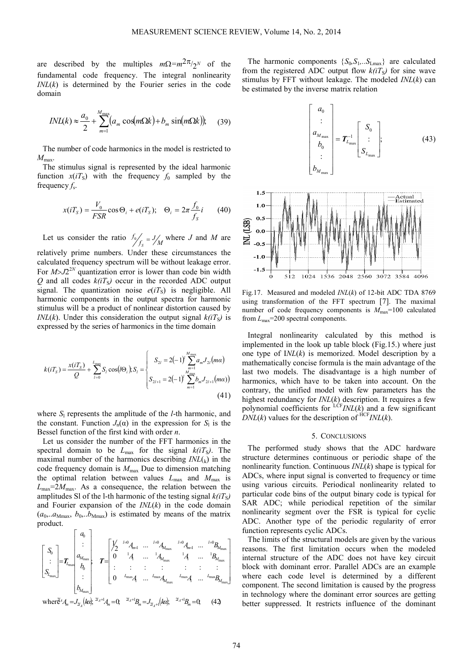$1<sup>5</sup>$ 

are described by the multiples  $m\Omega = m^2 \pi / 2^N$  of the fundamental code frequency. The integral nonlinearity *INL*(*k*) is determined by the Fourier series in the code domain

$$
INL(k) \approx \frac{a_0}{2} + \sum_{m=1}^{M_{\text{max}}} (a_m \cos(m\Omega k) + b_m \sin(m\Omega k)); \quad (39)
$$

The number of code harmonics in the model is restricted to *M*max.

The stimulus signal is represented by the ideal harmonic function  $x(iT<sub>S</sub>)$  with the frequency  $f_0$  sampled by the frequency *f*<sup>s</sup> .

$$
x(iTS) = \frac{V_0}{FSR} \cos \Theta_i + e(iTS); \quad \Theta_i = 2\pi \frac{f_0}{f_S} i \tag{40}
$$

Let us consider the ratio  $\frac{f_0}{f_s} = J/M$ *f*  $\int_{S}^{S} = J/M$  where *J* and *M* are relatively prime numbers. Under these circumstances the calculated frequency spectrum will be without leakage error. For  $M > J2^{2N}$  quantization error is lower than code bin width  $Q$  and all codes  $k(iT<sub>S</sub>)$  occur in the recorded ADC output signal. The quantization noise  $e(iT<sub>S</sub>)$  is negligible. All harmonic components in the output spectra for harmonic stimulus will be a product of nonlinear distortion caused by *INL*(*k*). Under this consideration the output signal  $k(iT<sub>S</sub>)$  is expressed by the series of harmonics in the time domain

$$
k(iTS) = \frac{x(iTS)}{Q} + \sum_{l=0}^{L_{\text{max}}} S_l \cos(l\Theta_i) S_l = \begin{cases} S_{2l} = 2(-1)^l \sum_{m=1}^{M_{\text{max}}} a_m J_{2l}(m\alpha) \\ S_{2l+1} = 2(-1)^l \sum_{m=1}^{M_{\text{max}}} b_m J_{2l+1}(m\alpha) \end{cases}
$$
(41)

where  $S_1$  represents the amplitude of the *l*-th harmonic, and the constant. Function  $J_n(\alpha)$  in the expression for  $S_1$  is the Bessel function of the first kind with order *n*.

Let us consider the number of the FFT harmonics in the spectral domain to be  $L_{\text{max}}$  for the signal  $k(iT<sub>S</sub>)$ . The maximal number of the harmonics describing  $INL(k)$  in the code frequency domain is  $M_{\text{max}}$  Due to dimension matching the optimal relation between values  $L_{\text{max}}$  and  $M_{\text{max}}$  is  $L_{\text{max}} = 2M_{\text{max}}$ . As a consequence, the relation between the amplitudes SI of the 1-th harmonic of the testing signal  $k(iT<sub>S</sub>)$ and Fourier expansion of the *INL*(*k*) in the code domain  $(a_0, a_{Mmax}, b_0, b_{Mmax})$  is estimated by means of the matrix product.

$$
\begin{bmatrix}\nS_{0} \\
\vdots \\
S_{L_{\max}}\n\end{bmatrix} = T_{L_{\max}} \begin{bmatrix}\n1 & i=0 & 0 & 0 \\
\vdots & \vdots & \vdots & \vdots & \vdots \\
0 & 0 & 0 & 0 & 0 \\
\vdots & \vdots & \vdots & \vdots & \vdots & \vdots \\
0 & 0 & 0 & 0 & 0 & 0 \\
\vdots & \vdots & \vdots & \vdots & \vdots & \vdots \\
0 & 0 & 0 & 0 & 0 & 0\n\end{bmatrix}\n\begin{bmatrix}\n1/2 & i=0 & 0 & 0 & 0 & 0 \\
0 & 0 & 0 & 0 & 0 & 0 \\
\vdots & \vdots & \vdots & \vdots & \vdots & \vdots \\
0 & 0 & 0 & 0 & 0 & 0 \\
\vdots & \vdots & \vdots & \vdots & \vdots & \vdots \\
0 & 0 & 0 & 0 & 0 & 0\n\end{bmatrix}\n\begin{bmatrix}\n1/2 & i=0 & 0 & 0 & 0 & 0 \\
0 & 0 & 0 & 0 & 0 & 0 \\
\vdots & \vdots & \vdots & \vdots & \vdots & \vdots \\
0 & 0 & 0 & 0 & 0 & 0 \\
\vdots & \vdots & \vdots & \vdots & \vdots & \vdots \\
0 & 0 & 0 & 0 & 0 & 0 \\
\vdots & \vdots & \vdots & \vdots & \vdots & \vdots \\
0 & 0 & 0 & 0 & 0 & 0\n\end{bmatrix}
$$
\nwhere  $d^2 A_m = J_{2l_m}(k\alpha)$ ,  $d^2 A^+ B_m = J_{2l_m+1}(k\alpha)$ ,  $d^2 A^+ B_m = 0$ ,  $(42)$ 

*A*

*A*

The harmonic components  ${S_0, S_1, \ldots, S_{Lmax}}$  are calculated from the registered ADC output flow  $k(iT<sub>S</sub>)$  for sine wave stimulus by FFT without leakage. The modeled *INL*(*k*) can be estimated by the inverse matrix relation





Fig.17. Measured and modeled *INL*(*k*) of 12-bit ADC TDA 8769 using transformation of the FFT spectrum [7]. The maximal number of code frequency components is  $M_{\text{max}}=100$  calculated from *L*max=200 spectral components.

Integral nonlinearity calculated by this method is implemented in the look up table block (Fig.15.) where just one type of I*NL*(*k*) is memorized. Model description by a mathematically concise formula is the main advantage of the last two models. The disadvantage is a high number of harmonics, which have to be taken into account. On the contrary, the unified model with few parameters has the highest redundancy for *INL*(*k*) description. It requires a few polynomial coefficients for  $LCF$ *INL*(*k*) and a few significant  $DNL(k)$  values for the description of  $HCF$ *INL*(*k*).

#### 5. CONCLUSIONS

The performed study shows that the ADC hardware structure determines continuous or periodic shape of the nonlinearity function. Continuous *INL*(*k*) shape is typical for ADCs, where input signal is converted to frequency or time using various circuits. Periodical nonlinearity related to particular code bins of the output binary code is typical for SAR ADC; while periodical repetition of the similar nonlinearity segment over the FSR is typical for cyclic ADC. Another type of the periodic regularity of error function represents cyclic ADCs.

The limits of the structural models are given by the various reasons. The first limitation occurs when the modeled internal structure of the ADC does not have key circuit block with dominant error. Parallel ADCs are an example where each code level is determined by a different component. The second limitation is caused by the progress in technology where the dominant error sources are getting better suppressed. It restricts influence of the dominant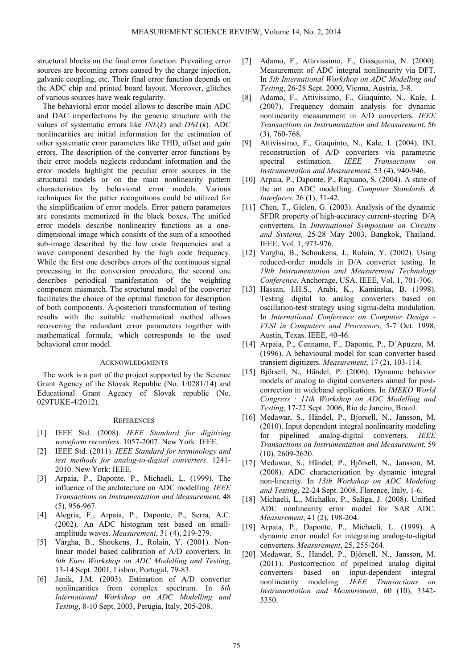structural blocks on the final error function. Prevailing error sources are becoming errors caused by the charge injection, galvanic coupling, etc. Their final error function depends on the ADC chip and printed board layout. Moreover, glitches of various sources have weak regularity.

The behavioral error model allows to describe main ADC and DAC imperfections by the generic structure with the values of systematic errors like *INL*(*k*) and *DNL*(*k*). ADC nonlinearities are initial information for the estimation of other systematic error parameters like THD, offset and gain errors. The description of the converter error functions by their error models neglects redundant information and the error models highlight the peculiar error sources in the structural models or on the main nonlinearity pattern characteristics by behavioral error models. Various techniques for the patter recognitions could be utilized for the simplification of error models. Error pattern parameters are constants memorized in the black boxes. The unified error models describe nonlinearity functions as a onedimensional image which consists of the sum of a smoothed sub-image described by the low code frequencies and a wave component described by the high code frequency. While the first one describes errors of the continuous signal processing in the conversion procedure, the second one describes periodical manifestation of the weighting component mismatch. The structural model of the converter facilitates the choice of the optimal function for description of both components. À-posteriori transformation of testing results with the suitable mathematical method allows recovering the redundant error parameters together with mathematical formula, which corresponds to the used behavioral error model.

#### ACKNOWLEDGMENTS

The work is a part of the project supported by the Science Grant Agency of the Slovak Republic (No. 1/0281/14) and Educational Grant Agency of Slovak republic (No. 029TUKE-4/2012).

## **REFERENCES**

- [1] IEEE Std. (2008). *IEEE Standard for digitizing waveform recorders*. 1057-2007. New York: IEEE.
- [2] IEEE Std. (2011). *IEEE Standard for terminology and test methods for analog-to-digital converters*. 1241- 2010. New York: IEEE.
- [3] Arpaia, P., Daponte, P., Michaeli, L. (1999). The influence of the architecture on ADC modelling. *IEEE Transactions on Instrumentation and Measurement*, 48 (5), 956-967.
- [4] Alegria, F., Arpaia, P., Daponte, P., Serra, A.C. (2002). An ADC histogram test based on smallamplitude waves. *Measurement*, 31 (4), 219-279.
- [5] Vargha, B., Shoukens, J., Rolain, Y. (2001). Nonlinear model based calibration of A/D converters. In *6th Euro Workshop on ADC Modelling and Testing*, 13-14 Sept. 2001, Lisbon, Portugal, 79-83.
- [6] Janik, J.M. (2003). Estimation of A/D converter nonlinearities from complex spectrum. In *8th International Workshop on ADC Modelling and Testing*, 8-10 Sept. 2003, Perugia, Italy, 205-208.
- [7] Adamo, F., Attavissimo, F., Giasquinto, N. (2000). Measurement of ADC integral nonlinearity via DFT. In *5th International Workshop on ADC Modelling and Testing*, 26-28 Sept. 2000, Vienna, Austria, 3-8.
- [8] Adamo, F., Attivissimo, F., Giaquinto, N., Kale, I. (2007). Frequency domain analysis for dynamic nonlinearity measurement in A/D converters. *IEEE Transactions on Instrumentation and Measurement*, 56 (3), 760-768.
- [9] Attivissimo, F., Giaquinto, N., Kale, I. (2004). INL reconstruction of A/D converters via parametric<br>spectral estimation. IEEE Transactions on spectral estimation. *IEEE Transactions on Instrumentation and Measurement*, 53 (4), 940-946.
- [10] Arpaia, P., Daponte, P., Rapuano, S. (2004). A state of the art on ADC modelling. *Computer Standards & Interfaces*, 26 (1), 31-42.
- [11] Chen, T., Gielen, G. (2003). Analysis of the dynamic SFDR property of high-accuracy current-steering D/A converters. In *International Symposium on Circuits and Systems,* 25-28 May 2003, Bangkok, Thailand. IEEE, Vol. 1, 973-976.
- [12] Vargha, B., Schoukens, J., Rolain, Y. (2002). Using reduced-order models in D/A converter testing. In *19th Instrumentation and Measurement Technology Conference*, Anchorage, USA. IEEE, Vol. 1, 701-706.
- [13] Hassan, I.H.S., Arabi, K., Kaminska, B. (1998). Testing digital to analog converters based on oscillation-test strategy using sigma-delta modulation. In *International Conference on Computer Design - VLSI in Computers and Processors*, 5-7 Oct. 1998, Austin, Texas. IEEE, 40-46.
- [14] Arpaia, P., Cennamo, F., Daponte, P., D´Apuzzo, M. (1996). A behavioural model for scan converter based transient digitizers. *Measurement*, 17 (2), 103-114.
- [15] Björsell, N., Händel, P. (2006). Dynamic behavior models of analog to digital converters aimed for postcorrection in wideband applications. In *IMEKO World Congress : 11th Workshop on ADC Modelling and Testing*, 17-22 Sept. 2006, Rio de Janeiro, Brazil.
- [16] Medawar, S., Händel, P., Bjorsell, N., Jansson, M. (2010). Input dependent integral nonlinearity modeling for pipelined analog-digital converters. *IEEE Transactions on Instrumentation and Measurement*, 59 (10), 2609-2620.
- [17] Medawar, S., Händel, P., Björsell, N., Jansson, M. (2008). ADC characterization by dynamic integral non-linearity. In *13th Workshop on ADC Modeling and Testing*, 22-24 Sept. 2008, Florence, Italy, 1-6.
- [18] Michaeli, L., Michalko, P., Saliga, J. (2008). Unified ADC nonlinearity error model for SAR ADC. *Measurement*, 41 (2), 198-204.
- [19] Arpaia, P., Daponte, P., Michaeli, L. (1999). A dynamic error model for integrating analog-to-digital converters. *Measurement*, 25, 255-264.
- [20] Medawar, S., Handel, P., Björsell, N., Jansson, M. (2011). Postcorrection of pipelined analog digital converters based on input-dependent integral nonlinearity modeling. *IEEE Transactions on Instrumentation and Measurement*, 60 (10), 3342- 3350.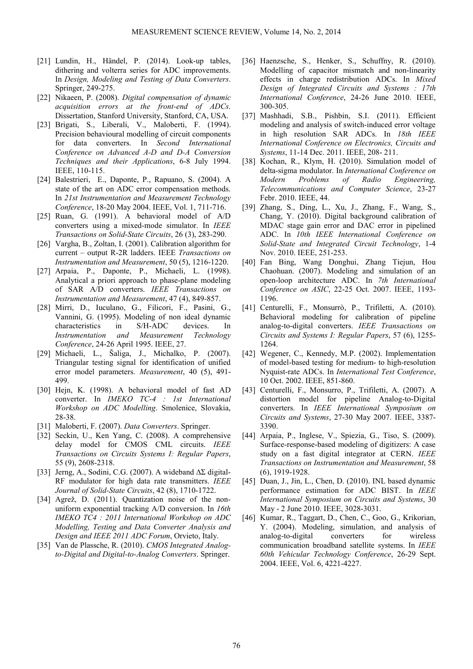- [21] Lundin, H., Händel, P. (2014). Look-up tables, dithering and volterra series for ADC improvements. In *Design, Modeling and Testing of Data Converters*. Springer, 249-275.
- [22] Nikaeen, P. (2008). *Digital compensation of dynamic acquisition errors at the front-end of ADCs*. Dissertation, Stanford University, Stanford, CA, USA.
- [23] Brigati, S., Liberali, V., Maloberti, F. (1994). Precision behavioural modelling of circuit components for data converters. In *Second International Conference on Advanced A-D and D-A Conversion Techniques and their Applications*, 6-8 July 1994. IEEE, 110-115.
- [24] Balestrieri, E., Daponte, P., Rapuano, S. (2004). A state of the art on ADC error compensation methods. In *21st Instrumentation and Measurement Technology Conference*, 18-20 May 2004. IEEE, Vol. 1, 711-716.
- [25] Ruan, G. (1991). A behavioral model of A/D converters using a mixed-mode simulator. In *IEEE Transactions on Solid-State Circuits*, 26 (3), 283-290.
- [26] Vargha, B., Zoltan, I. (2001). Calibration algorithm for current – output R-2R ladders. IEEE *Transactions on Instrumentation and Measurement*, 50 (5), 1216-1220.
- [27] Arpaia, P., Daponte, P., Michaeli, L. (1998). Analytical a priori approach to phase-plane modeling of SAR A/D converters. *IEEE Transactions on Instrumentation and Measurement*, 47 (4), 849-857.
- [28] Mirri, D., Iuculano, G., Filicori, F., Pasini, G., Vannini, G. (1995). Modeling of non ideal dynamic characteristics in S/H-ADC devices. In *Instrumentation and Measurement Technology Conference*, 24-26 April 1995. IEEE, 27.
- [29] Michaeli, L., Šaliga, J., Michalko, P. (2007). Triangular testing signal for identification of unified error model parameters. *Measurement*, 40 (5), 491- 499.
- [30] Hejn, K. (1998). A behavioral model of fast AD converter. In *IMEKO TC-4 : 1st International Workshop on ADC Modelling*. Smolenice, Slovakia, 28-38.
- [31] Maloberti, F. (2007). *Data Converters*. Springer.
- [32] Seckin, U., Ken Yang, C. (2008). A comprehensive delay model for CMOS CML circuits. *IEEE Transactions on Circuits Systems I: Regular Papers*, 55 (9), 2608-2318.
- [33] Jerng, A., Sodini, C.G. (2007). A wideband ∆Σ digital-RF modulator for high data rate transmitters. *IEEE Journal of Solid-State Circuits*, 42 (8), 1710-1722.
- [34] Agrež, D. (2011). Quantization noise of the nonuniform exponential tracking A/D conversion. In *16th IMEKO TC4 : 2011 International Workshop on ADC Modelling, Testing and Data Converter Analysis and Design and IEEE 2011 ADC Forum*, Orvieto, Italy.
- [35] Van de Plassche, R. (2010). *CMOS Integrated Analogto-Digital and Digital-to-Analog Converters*. Springer.
- [36] Haenzsche, S., Henker, S., Schuffny, R. (2010). Modelling of capacitor mismatch and non-linearity effects in charge redistribution ADCs. In *Mixed Design of Integrated Circuits and Systems : 17th International Conference*, 24-26 June 2010. IEEE, 300-305.
- [37] Mashhadi, S.B., Pishbin, S.I. (2011). Efficient modeling and analysis of switch-induced error voltage in high resolution SAR ADCs. In *18th IEEE International Conference on Electronics, Circuits and Systems*, 11-14 Dec. 2011. IEEE, 208- 211.
- [38] Kochan, R., Klym, H. (2010). Simulation model of delta-sigma modulator. In *International Conference on Modern Problems of Radio Engineering, Telecommunications and Computer Science*, 23-27 Febr. 2010. IEEE, 44.
- [39] Zhang, S., Ding, L., Xu, J., Zhang, F., Wang, S., Chang, Y. (2010). Digital background calibration of MDAC stage gain error and DAC error in pipelined ADC. In *10th IEEE International Conference on Solid-State and Integrated Circuit Technology*, 1-4 Nov. 2010. IEEE, 251-253.
- [40] Fan Bing, Wang Donghui, Zhang Tiejun, Hou Chaohuan. (2007). Modeling and simulation of an open-loop architecture ADC. In *7th International Conference on ASIC*, 22-25 Oct. 2007. IEEE, 1193- 1196.
- [41] Centurelli, F., Monsurrò, P., Trifiletti, A. (2010). Behavioral modeling for calibration of pipeline analog-to-digital converters. *IEEE Transactions on Circuits and Systems I: Regular Papers*, 57 (6), 1255- 1264.
- [42] Wegener, C., Kennedy, M.P. (2002). Implementation of model-based testing for medium- to high-resolution Nyquist-rate ADCs. In *International Test Conference*, 10 Oct. 2002. IEEE, 851-860.
- [43] Centurelli, F., Monsurro, P., Trifiletti, A. (2007). A distortion model for pipeline Analog-to-Digital converters. In *IEEE International Symposium on Circuits and Systems*, 27-30 May 2007. IEEE, 3387- 3390.
- [44] Arpaia, P., Inglese, V., Spiezia, G., Tiso, S. (2009). Surface-response-based modeling of digitizers: A case study on a fast digital integrator at CERN. *IEEE Transactions on Instrumentation and Measurement*, 58 (6), 1919-1928.
- [45] Duan, J., Jin, L., Chen, D. (2010). INL based dynamic performance estimation for ADC BIST. In *IEEE International Symposium on Circuits and Systems*, 30 May - 2 June 2010. IEEE, 3028-3031.
- [46] Kumar, R., Taggart, D., Chen, C., Goo, G., Krikorian, Y. (2004). Modeling, simulation, and analysis of analog-to-digital converters for wireless communication broadband satellite systems. In *IEEE 60th Vehicular Technology Conference*, 26-29 Sept. 2004. IEEE, Vol. 6, 4221-4227.